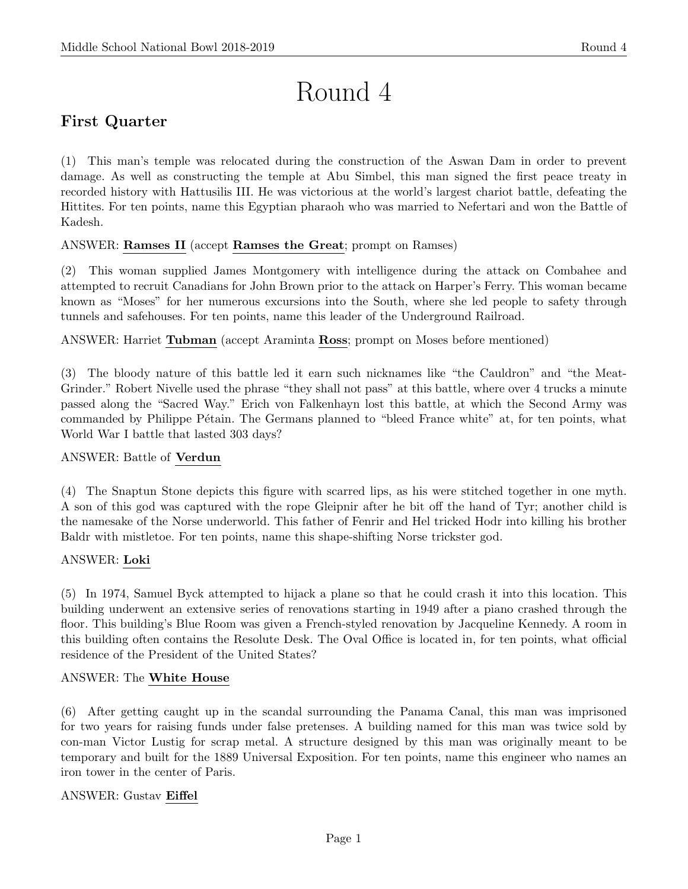# Round 4

# First Quarter

(1) This man's temple was relocated during the construction of the Aswan Dam in order to prevent damage. As well as constructing the temple at Abu Simbel, this man signed the first peace treaty in recorded history with Hattusilis III. He was victorious at the world's largest chariot battle, defeating the Hittites. For ten points, name this Egyptian pharaoh who was married to Nefertari and won the Battle of Kadesh.

#### ANSWER: Ramses II (accept Ramses the Great; prompt on Ramses)

(2) This woman supplied James Montgomery with intelligence during the attack on Combahee and attempted to recruit Canadians for John Brown prior to the attack on Harper's Ferry. This woman became known as "Moses" for her numerous excursions into the South, where she led people to safety through tunnels and safehouses. For ten points, name this leader of the Underground Railroad.

ANSWER: Harriet Tubman (accept Araminta Ross; prompt on Moses before mentioned)

(3) The bloody nature of this battle led it earn such nicknames like "the Cauldron" and "the Meat-Grinder." Robert Nivelle used the phrase "they shall not pass" at this battle, where over 4 trucks a minute passed along the "Sacred Way." Erich von Falkenhayn lost this battle, at which the Second Army was commanded by Philippe Pétain. The Germans planned to "bleed France white" at, for ten points, what World War I battle that lasted 303 days?

#### ANSWER: Battle of Verdun

(4) The Snaptun Stone depicts this figure with scarred lips, as his were stitched together in one myth. A son of this god was captured with the rope Gleipnir after he bit off the hand of Tyr; another child is the namesake of the Norse underworld. This father of Fenrir and Hel tricked Hodr into killing his brother Baldr with mistletoe. For ten points, name this shape-shifting Norse trickster god.

#### ANSWER: Loki

(5) In 1974, Samuel Byck attempted to hijack a plane so that he could crash it into this location. This building underwent an extensive series of renovations starting in 1949 after a piano crashed through the floor. This building's Blue Room was given a French-styled renovation by Jacqueline Kennedy. A room in this building often contains the Resolute Desk. The Oval Office is located in, for ten points, what official residence of the President of the United States?

#### ANSWER: The White House

(6) After getting caught up in the scandal surrounding the Panama Canal, this man was imprisoned for two years for raising funds under false pretenses. A building named for this man was twice sold by con-man Victor Lustig for scrap metal. A structure designed by this man was originally meant to be temporary and built for the 1889 Universal Exposition. For ten points, name this engineer who names an iron tower in the center of Paris.

#### ANSWER: Gustav Eiffel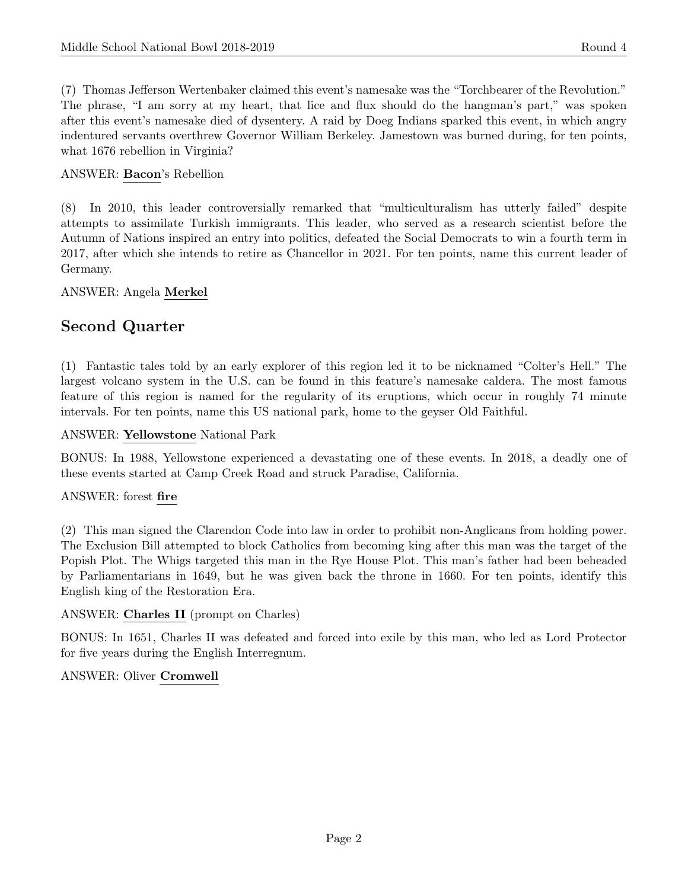(7) Thomas Jefferson Wertenbaker claimed this event's namesake was the "Torchbearer of the Revolution." The phrase, "I am sorry at my heart, that lice and flux should do the hangman's part," was spoken after this event's namesake died of dysentery. A raid by Doeg Indians sparked this event, in which angry indentured servants overthrew Governor William Berkeley. Jamestown was burned during, for ten points, what 1676 rebellion in Virginia?

#### ANSWER: Bacon's Rebellion

(8) In 2010, this leader controversially remarked that "multiculturalism has utterly failed" despite attempts to assimilate Turkish immigrants. This leader, who served as a research scientist before the Autumn of Nations inspired an entry into politics, defeated the Social Democrats to win a fourth term in 2017, after which she intends to retire as Chancellor in 2021. For ten points, name this current leader of Germany.

#### ANSWER: Angela Merkel

### Second Quarter

(1) Fantastic tales told by an early explorer of this region led it to be nicknamed "Colter's Hell." The largest volcano system in the U.S. can be found in this feature's namesake caldera. The most famous feature of this region is named for the regularity of its eruptions, which occur in roughly 74 minute intervals. For ten points, name this US national park, home to the geyser Old Faithful.

#### ANSWER: Yellowstone National Park

BONUS: In 1988, Yellowstone experienced a devastating one of these events. In 2018, a deadly one of these events started at Camp Creek Road and struck Paradise, California.

#### ANSWER: forest fire

(2) This man signed the Clarendon Code into law in order to prohibit non-Anglicans from holding power. The Exclusion Bill attempted to block Catholics from becoming king after this man was the target of the Popish Plot. The Whigs targeted this man in the Rye House Plot. This man's father had been beheaded by Parliamentarians in 1649, but he was given back the throne in 1660. For ten points, identify this English king of the Restoration Era.

#### ANSWER: Charles II (prompt on Charles)

BONUS: In 1651, Charles II was defeated and forced into exile by this man, who led as Lord Protector for five years during the English Interregnum.

#### ANSWER: Oliver Cromwell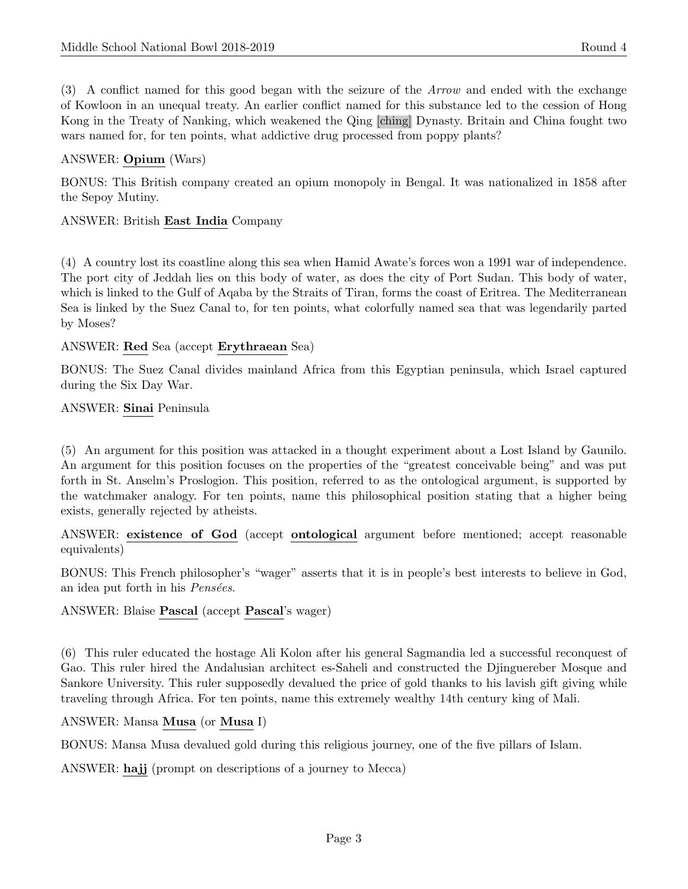(3) A conflict named for this good began with the seizure of the Arrow and ended with the exchange of Kowloon in an unequal treaty. An earlier conflict named for this substance led to the cession of Hong Kong in the Treaty of Nanking, which weakened the Qing [ching] Dynasty. Britain and China fought two wars named for, for ten points, what addictive drug processed from poppy plants?

#### ANSWER: Opium (Wars)

BONUS: This British company created an opium monopoly in Bengal. It was nationalized in 1858 after the Sepoy Mutiny.

#### ANSWER: British East India Company

(4) A country lost its coastline along this sea when Hamid Awate's forces won a 1991 war of independence. The port city of Jeddah lies on this body of water, as does the city of Port Sudan. This body of water, which is linked to the Gulf of Aqaba by the Straits of Tiran, forms the coast of Eritrea. The Mediterranean Sea is linked by the Suez Canal to, for ten points, what colorfully named sea that was legendarily parted by Moses?

#### ANSWER: Red Sea (accept Erythraean Sea)

BONUS: The Suez Canal divides mainland Africa from this Egyptian peninsula, which Israel captured during the Six Day War.

#### ANSWER: Sinai Peninsula

(5) An argument for this position was attacked in a thought experiment about a Lost Island by Gaunilo. An argument for this position focuses on the properties of the "greatest conceivable being" and was put forth in St. Anselm's Proslogion. This position, referred to as the ontological argument, is supported by the watchmaker analogy. For ten points, name this philosophical position stating that a higher being exists, generally rejected by atheists.

ANSWER: existence of God (accept ontological argument before mentioned; accept reasonable equivalents)

BONUS: This French philosopher's "wager" asserts that it is in people's best interests to believe in God, an idea put forth in his *Pensées*.

ANSWER: Blaise Pascal (accept Pascal's wager)

(6) This ruler educated the hostage Ali Kolon after his general Sagmandia led a successful reconquest of Gao. This ruler hired the Andalusian architect es-Saheli and constructed the Djinguereber Mosque and Sankore University. This ruler supposedly devalued the price of gold thanks to his lavish gift giving while traveling through Africa. For ten points, name this extremely wealthy 14th century king of Mali.

#### ANSWER: Mansa Musa (or Musa I)

BONUS: Mansa Musa devalued gold during this religious journey, one of the five pillars of Islam.

ANSWER: hajj (prompt on descriptions of a journey to Mecca)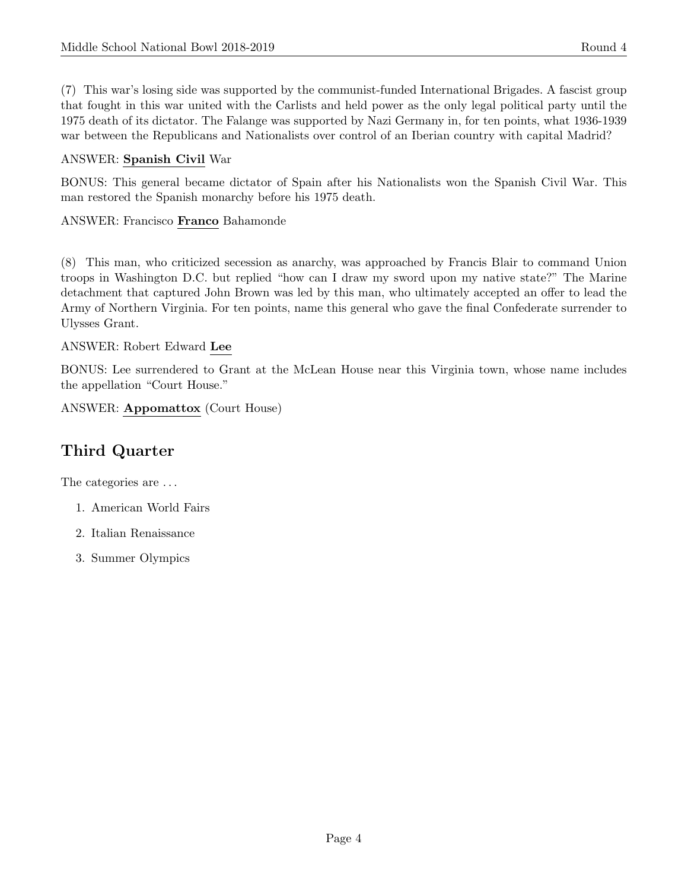(7) This war's losing side was supported by the communist-funded International Brigades. A fascist group that fought in this war united with the Carlists and held power as the only legal political party until the 1975 death of its dictator. The Falange was supported by Nazi Germany in, for ten points, what 1936-1939 war between the Republicans and Nationalists over control of an Iberian country with capital Madrid?

#### ANSWER: Spanish Civil War

BONUS: This general became dictator of Spain after his Nationalists won the Spanish Civil War. This man restored the Spanish monarchy before his 1975 death.

#### ANSWER: Francisco Franco Bahamonde

(8) This man, who criticized secession as anarchy, was approached by Francis Blair to command Union troops in Washington D.C. but replied "how can I draw my sword upon my native state?" The Marine detachment that captured John Brown was led by this man, who ultimately accepted an offer to lead the Army of Northern Virginia. For ten points, name this general who gave the final Confederate surrender to Ulysses Grant.

#### ANSWER: Robert Edward Lee

BONUS: Lee surrendered to Grant at the McLean House near this Virginia town, whose name includes the appellation "Court House."

ANSWER: Appomattox (Court House)

# Third Quarter

The categories are  $\dots$ 

- 1. American World Fairs
- 2. Italian Renaissance
- 3. Summer Olympics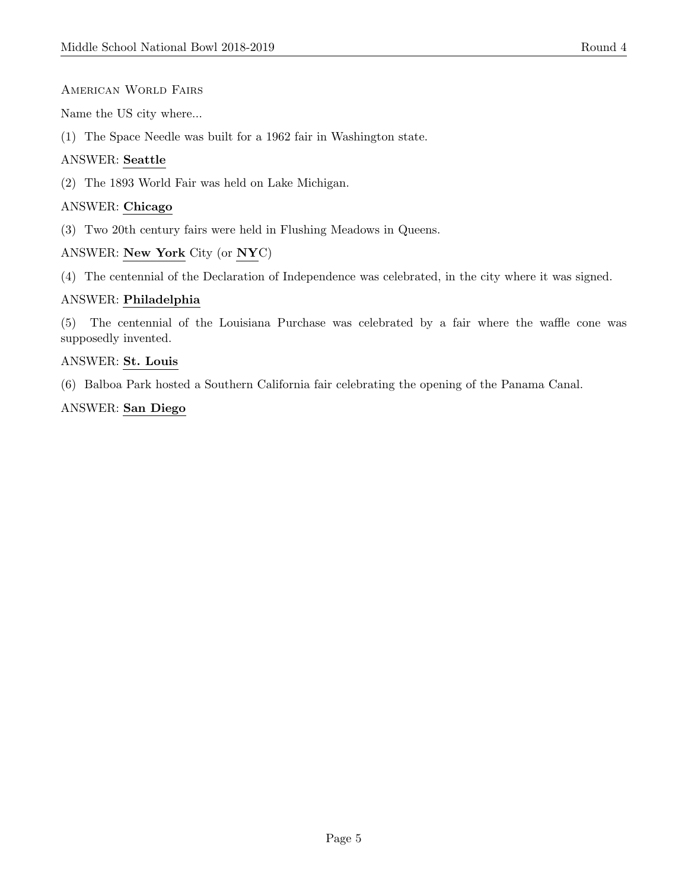#### American World Fairs

Name the US city where...

(1) The Space Needle was built for a 1962 fair in Washington state.

#### ANSWER: Seattle

(2) The 1893 World Fair was held on Lake Michigan.

#### ANSWER: Chicago

(3) Two 20th century fairs were held in Flushing Meadows in Queens.

#### ANSWER: New York City (or NYC)

(4) The centennial of the Declaration of Independence was celebrated, in the city where it was signed.

#### ANSWER: Philadelphia

(5) The centennial of the Louisiana Purchase was celebrated by a fair where the waffle cone was supposedly invented.

#### ANSWER: St. Louis

(6) Balboa Park hosted a Southern California fair celebrating the opening of the Panama Canal.

#### ANSWER: San Diego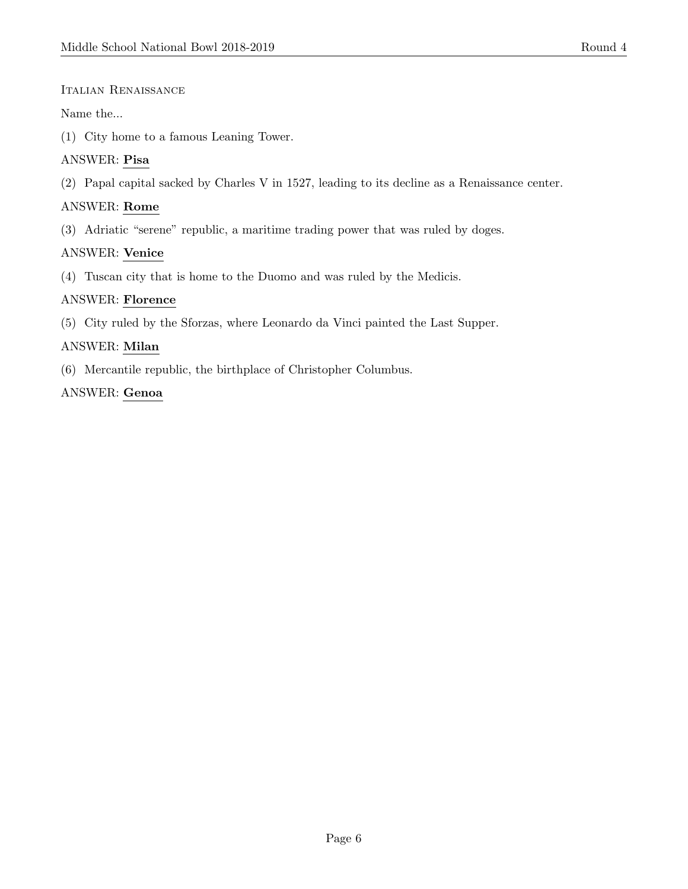#### Italian Renaissance

#### Name the...

(1) City home to a famous Leaning Tower.

#### ANSWER: Pisa

(2) Papal capital sacked by Charles V in 1527, leading to its decline as a Renaissance center.

#### ANSWER: Rome

(3) Adriatic "serene" republic, a maritime trading power that was ruled by doges.

#### ANSWER: Venice

(4) Tuscan city that is home to the Duomo and was ruled by the Medicis.

#### ANSWER: Florence

(5) City ruled by the Sforzas, where Leonardo da Vinci painted the Last Supper.

#### ANSWER: Milan

(6) Mercantile republic, the birthplace of Christopher Columbus.

#### ANSWER: Genoa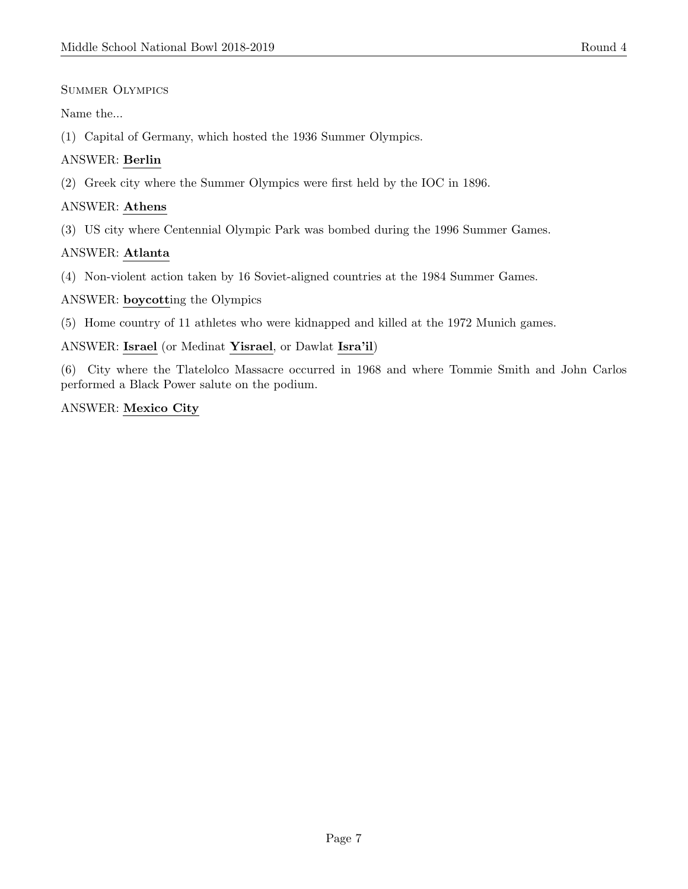#### Summer Olympics

#### Name the...

(1) Capital of Germany, which hosted the 1936 Summer Olympics.

#### ANSWER: Berlin

(2) Greek city where the Summer Olympics were first held by the IOC in 1896.

#### ANSWER: Athens

(3) US city where Centennial Olympic Park was bombed during the 1996 Summer Games.

#### ANSWER: Atlanta

(4) Non-violent action taken by 16 Soviet-aligned countries at the 1984 Summer Games.

#### ANSWER: boycotting the Olympics

(5) Home country of 11 athletes who were kidnapped and killed at the 1972 Munich games.

#### ANSWER: Israel (or Medinat Yisrael, or Dawlat Isra'il)

(6) City where the Tlatelolco Massacre occurred in 1968 and where Tommie Smith and John Carlos performed a Black Power salute on the podium.

#### ANSWER: Mexico City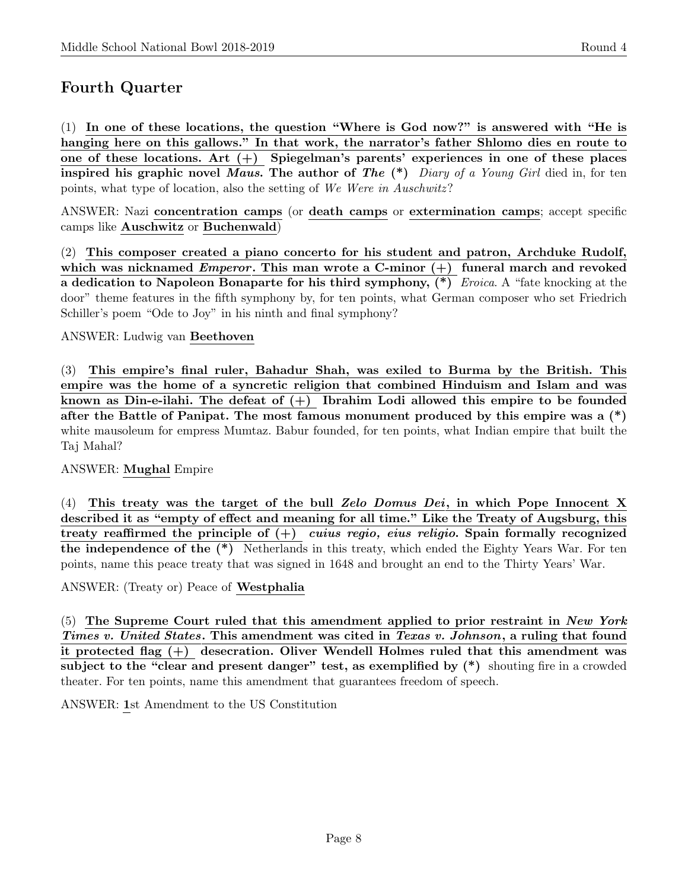## Fourth Quarter

(1) In one of these locations, the question "Where is God now?" is answered with "He is hanging here on this gallows." In that work, the narrator's father Shlomo dies en route to one of these locations. Art  $(+)$  Spiegelman's parents' experiences in one of these places inspired his graphic novel Maus. The author of The  $(*)$  Diary of a Young Girl died in, for ten points, what type of location, also the setting of We Were in Auschwitz?

ANSWER: Nazi concentration camps (or death camps or extermination camps; accept specific camps like Auschwitz or Buchenwald)

(2) This composer created a piano concerto for his student and patron, Archduke Rudolf, which was nicknamed *Emperor*. This man wrote a C-minor  $(+)$  funeral march and revoked a dedication to Napoleon Bonaparte for his third symphony, (\*) Eroica. A "fate knocking at the door" theme features in the fifth symphony by, for ten points, what German composer who set Friedrich Schiller's poem "Ode to Joy" in his ninth and final symphony?

#### ANSWER: Ludwig van Beethoven

(3) This empire's final ruler, Bahadur Shah, was exiled to Burma by the British. This empire was the home of a syncretic religion that combined Hinduism and Islam and was known as Din-e-ilahi. The defeat of  $(+)$  Ibrahim Lodi allowed this empire to be founded after the Battle of Panipat. The most famous monument produced by this empire was a  $(*)$ white mausoleum for empress Mumtaz. Babur founded, for ten points, what Indian empire that built the Taj Mahal?

#### ANSWER: Mughal Empire

(4) This treaty was the target of the bull Zelo Domus Dei, in which Pope Innocent X described it as "empty of effect and meaning for all time." Like the Treaty of Augsburg, this treaty reaffirmed the principle of  $(+)$  cuius regio, eius religio. Spain formally recognized the independence of the (\*) Netherlands in this treaty, which ended the Eighty Years War. For ten points, name this peace treaty that was signed in 1648 and brought an end to the Thirty Years' War.

ANSWER: (Treaty or) Peace of Westphalia

 $(5)$  The Supreme Court ruled that this amendment applied to prior restraint in New York Times v. United States. This amendment was cited in Texas v. Johnson, a ruling that found it protected flag (+) desecration. Oliver Wendell Holmes ruled that this amendment was subject to the "clear and present danger" test, as exemplified by  $(*)$  shouting fire in a crowded theater. For ten points, name this amendment that guarantees freedom of speech.

ANSWER: 1st Amendment to the US Constitution